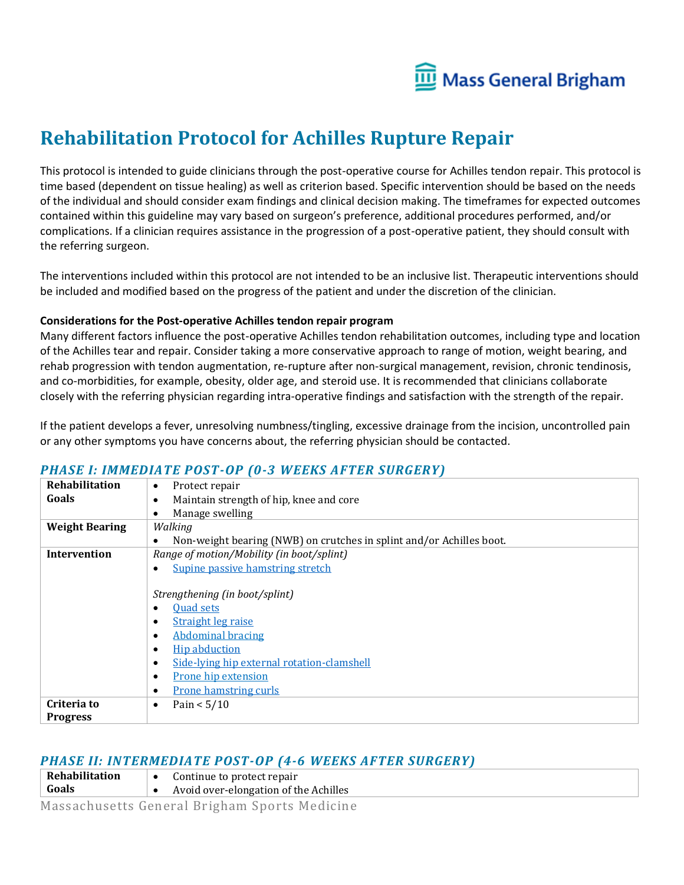

# **Rehabilitation Protocol for Achilles Rupture Repair**

This protocol is intended to guide clinicians through the post-operative course for Achilles tendon repair. This protocol is time based (dependent on tissue healing) as well as criterion based. Specific intervention should be based on the needs of the individual and should consider exam findings and clinical decision making. The timeframes for expected outcomes contained within this guideline may vary based on surgeon's preference, additional procedures performed, and/or complications. If a clinician requires assistance in the progression of a post-operative patient, they should consult with the referring surgeon.

The interventions included within this protocol are not intended to be an inclusive list. Therapeutic interventions should be included and modified based on the progress of the patient and under the discretion of the clinician.

#### **Considerations for the Post-operative Achilles tendon repair program**

Many different factors influence the post-operative Achilles tendon rehabilitation outcomes, including type and location of the Achilles tear and repair. Consider taking a more conservative approach to range of motion, weight bearing, and rehab progression with tendon augmentation, re-rupture after non-surgical management, revision, chronic tendinosis, and co-morbidities, for example, obesity, older age, and steroid use. It is recommended that clinicians collaborate closely with the referring physician regarding intra-operative findings and satisfaction with the strength of the repair.

If the patient develops a fever, unresolving numbness/tingling, excessive drainage from the incision, uncontrolled pain or any other symptoms you have concerns about, the referring physician should be contacted.

| Rehabilitation        | Protect repair<br>$\bullet$                                          |  |  |  |  |  |  |
|-----------------------|----------------------------------------------------------------------|--|--|--|--|--|--|
| Goals                 | Maintain strength of hip, knee and core                              |  |  |  |  |  |  |
|                       | Manage swelling                                                      |  |  |  |  |  |  |
| <b>Weight Bearing</b> | Walking                                                              |  |  |  |  |  |  |
|                       | Non-weight bearing (NWB) on crutches in splint and/or Achilles boot. |  |  |  |  |  |  |
| Intervention          | Range of motion/Mobility (in boot/splint)                            |  |  |  |  |  |  |
|                       | Supine passive hamstring stretch                                     |  |  |  |  |  |  |
|                       |                                                                      |  |  |  |  |  |  |
|                       | Strengthening (in boot/splint)                                       |  |  |  |  |  |  |
|                       | <b>Quad sets</b>                                                     |  |  |  |  |  |  |
|                       | <b>Straight leg raise</b>                                            |  |  |  |  |  |  |
|                       | <b>Abdominal bracing</b><br>$\bullet$                                |  |  |  |  |  |  |
|                       | <b>Hip abduction</b><br>$\bullet$                                    |  |  |  |  |  |  |
|                       | Side-lying hip external rotation-clamshell                           |  |  |  |  |  |  |
|                       | Prone hip extension<br>$\bullet$                                     |  |  |  |  |  |  |
|                       | <b>Prone hamstring curls</b>                                         |  |  |  |  |  |  |
| Criteria to           | Pain $< 5/10$<br>$\bullet$                                           |  |  |  |  |  |  |
| <b>Progress</b>       |                                                                      |  |  |  |  |  |  |

### *PHASE I: IMMEDIATE POST-OP (0-3 WEEKS AFTER SURGERY)*

#### *PHASE II: INTERMEDIATE POST-OP (4-6 WEEKS AFTER SURGERY)*

- **Rehabilitation**  • Continue to protect repair
- **Goals** • Avoid over-elongation of the Achilles

Massachusetts General Brigham Sports Medicine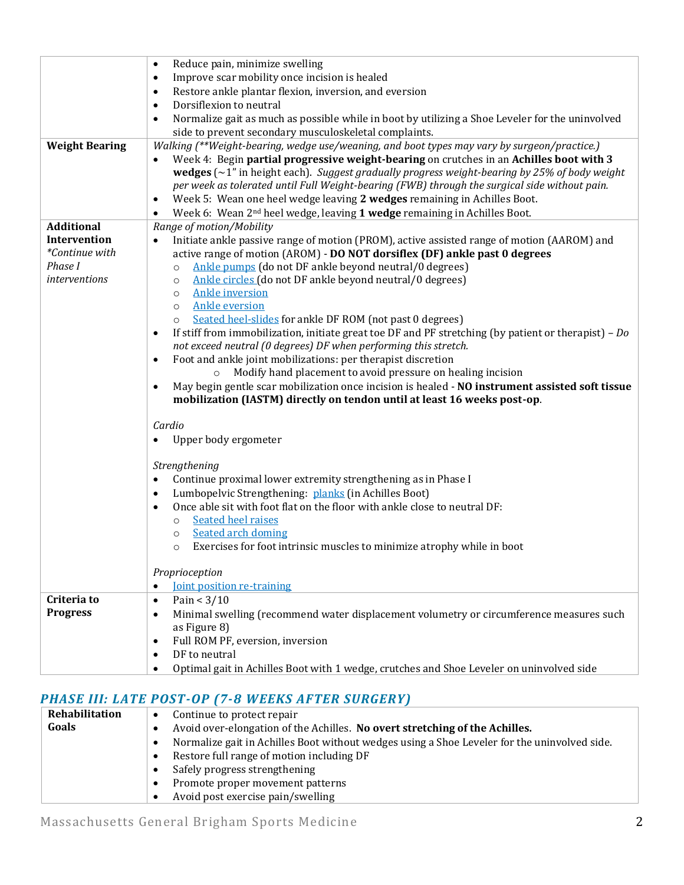|                       | Reduce pain, minimize swelling<br>$\bullet$                                                                                                         |  |  |  |  |  |  |
|-----------------------|-----------------------------------------------------------------------------------------------------------------------------------------------------|--|--|--|--|--|--|
|                       | Improve scar mobility once incision is healed<br>$\bullet$                                                                                          |  |  |  |  |  |  |
|                       | Restore ankle plantar flexion, inversion, and eversion<br>$\bullet$                                                                                 |  |  |  |  |  |  |
|                       | Dorsiflexion to neutral<br>$\bullet$                                                                                                                |  |  |  |  |  |  |
|                       | Normalize gait as much as possible while in boot by utilizing a Shoe Leveler for the uninvolved<br>$\bullet$                                        |  |  |  |  |  |  |
|                       | side to prevent secondary musculoskeletal complaints.                                                                                               |  |  |  |  |  |  |
| <b>Weight Bearing</b> | Walking (**Weight-bearing, wedge use/weaning, and boot types may vary by surgeon/practice.)                                                         |  |  |  |  |  |  |
|                       | Week 4: Begin partial progressive weight-bearing on crutches in an Achilles boot with 3<br>$\bullet$                                                |  |  |  |  |  |  |
|                       | wedges $(\sim 1$ " in height each). Suggest gradually progress weight-bearing by 25% of body weight                                                 |  |  |  |  |  |  |
|                       | per week as tolerated until Full Weight-bearing (FWB) through the surgical side without pain.                                                       |  |  |  |  |  |  |
|                       | Week 5: Wean one heel wedge leaving 2 wedges remaining in Achilles Boot.<br>$\bullet$                                                               |  |  |  |  |  |  |
|                       | Week 6: Wean 2 <sup>nd</sup> heel wedge, leaving 1 wedge remaining in Achilles Boot.<br>$\bullet$                                                   |  |  |  |  |  |  |
| <b>Additional</b>     | Range of motion/Mobility                                                                                                                            |  |  |  |  |  |  |
| Intervention          | Initiate ankle passive range of motion (PROM), active assisted range of motion (AAROM) and<br>$\bullet$                                             |  |  |  |  |  |  |
| *Continue with        | active range of motion (AROM) - DO NOT dorsiflex (DF) ankle past 0 degrees                                                                          |  |  |  |  |  |  |
| Phase I               | Ankle pumps (do not DF ankle beyond neutral/0 degrees)<br>$\circ$                                                                                   |  |  |  |  |  |  |
| interventions         | Ankle circles (do not DF ankle beyond neutral/0 degrees)<br>$\circ$                                                                                 |  |  |  |  |  |  |
|                       | <b>Ankle inversion</b><br>$\circ$                                                                                                                   |  |  |  |  |  |  |
|                       | <b>Ankle eversion</b><br>$\circ$                                                                                                                    |  |  |  |  |  |  |
|                       | Seated heel-slides for ankle DF ROM (not past 0 degrees)<br>$\circ$                                                                                 |  |  |  |  |  |  |
|                       | If stiff from immobilization, initiate great toe DF and PF stretching (by patient or therapist) – $Do$<br>$\bullet$                                 |  |  |  |  |  |  |
|                       | not exceed neutral (0 degrees) DF when performing this stretch.                                                                                     |  |  |  |  |  |  |
|                       | Foot and ankle joint mobilizations: per therapist discretion<br>$\bullet$<br>Modify hand placement to avoid pressure on healing incision<br>$\circ$ |  |  |  |  |  |  |
|                       | May begin gentle scar mobilization once incision is healed - NO instrument assisted soft tissue<br>$\bullet$                                        |  |  |  |  |  |  |
|                       | mobilization (IASTM) directly on tendon until at least 16 weeks post-op.                                                                            |  |  |  |  |  |  |
|                       |                                                                                                                                                     |  |  |  |  |  |  |
|                       | Cardio                                                                                                                                              |  |  |  |  |  |  |
|                       | Upper body ergometer<br>$\bullet$                                                                                                                   |  |  |  |  |  |  |
|                       |                                                                                                                                                     |  |  |  |  |  |  |
|                       | Strengthening                                                                                                                                       |  |  |  |  |  |  |
|                       | Continue proximal lower extremity strengthening as in Phase I<br>$\bullet$                                                                          |  |  |  |  |  |  |
|                       | Lumbopelvic Strengthening: planks (in Achilles Boot)<br>$\bullet$                                                                                   |  |  |  |  |  |  |
|                       | Once able sit with foot flat on the floor with ankle close to neutral DF:<br>$\bullet$                                                              |  |  |  |  |  |  |
|                       | <b>Seated heel raises</b><br>$\circ$                                                                                                                |  |  |  |  |  |  |
|                       | Seated arch doming<br>$\circ$                                                                                                                       |  |  |  |  |  |  |
|                       | Exercises for foot intrinsic muscles to minimize atrophy while in boot<br>$\circ$                                                                   |  |  |  |  |  |  |
|                       |                                                                                                                                                     |  |  |  |  |  |  |
|                       | Proprioception                                                                                                                                      |  |  |  |  |  |  |
|                       | <b>Joint position re-training</b><br>$\bullet$                                                                                                      |  |  |  |  |  |  |
| Criteria to           | Pain $<$ 3/10<br>$\bullet$                                                                                                                          |  |  |  |  |  |  |
| <b>Progress</b>       | Minimal swelling (recommend water displacement volumetry or circumference measures such<br>$\bullet$                                                |  |  |  |  |  |  |
|                       | as Figure 8)                                                                                                                                        |  |  |  |  |  |  |
|                       | Full ROM PF, eversion, inversion<br>$\bullet$                                                                                                       |  |  |  |  |  |  |
|                       | DF to neutral<br>$\bullet$                                                                                                                          |  |  |  |  |  |  |
|                       | Optimal gait in Achilles Boot with 1 wedge, crutches and Shoe Leveler on uninvolved side<br>$\bullet$                                               |  |  |  |  |  |  |

## *PHASE III: LATE POST-OP (7-8 WEEKS AFTER SURGERY)*

| Rehabilitation | Continue to protect repair                                                                   |  |  |  |  |  |
|----------------|----------------------------------------------------------------------------------------------|--|--|--|--|--|
| Goals          | Avoid over-elongation of the Achilles. No overt stretching of the Achilles.                  |  |  |  |  |  |
|                | Normalize gait in Achilles Boot without wedges using a Shoe Leveler for the uninvolved side. |  |  |  |  |  |
|                | Restore full range of motion including DF                                                    |  |  |  |  |  |
|                | Safely progress strengthening                                                                |  |  |  |  |  |
|                | Promote proper movement patterns                                                             |  |  |  |  |  |
|                | Avoid post exercise pain/swelling                                                            |  |  |  |  |  |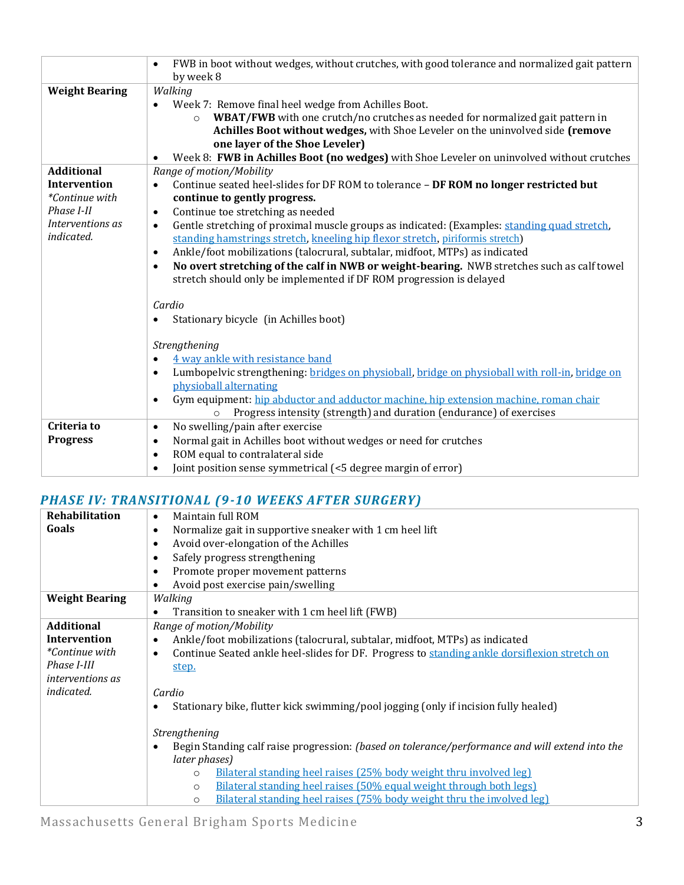|                                                                                             | FWB in boot without wedges, without crutches, with good tolerance and normalized gait pattern<br>$\bullet$<br>by week 8 |  |  |  |  |  |
|---------------------------------------------------------------------------------------------|-------------------------------------------------------------------------------------------------------------------------|--|--|--|--|--|
| <b>Weight Bearing</b>                                                                       | Walking                                                                                                                 |  |  |  |  |  |
|                                                                                             | Week 7: Remove final heel wedge from Achilles Boot.                                                                     |  |  |  |  |  |
|                                                                                             | WBAT/FWB with one crutch/no crutches as needed for normalized gait pattern in<br>$\circ$                                |  |  |  |  |  |
|                                                                                             | Achilles Boot without wedges, with Shoe Leveler on the uninvolved side (remove                                          |  |  |  |  |  |
|                                                                                             | one layer of the Shoe Leveler)                                                                                          |  |  |  |  |  |
|                                                                                             | Week 8: FWB in Achilles Boot (no wedges) with Shoe Leveler on uninvolved without crutches<br>$\bullet$                  |  |  |  |  |  |
| <b>Additional</b>                                                                           | Range of motion/Mobility                                                                                                |  |  |  |  |  |
| Intervention                                                                                | Continue seated heel-slides for DF ROM to tolerance - DF ROM no longer restricted but<br>$\bullet$                      |  |  |  |  |  |
| *Continue with                                                                              | continue to gently progress.                                                                                            |  |  |  |  |  |
| Phase I-II                                                                                  | Continue toe stretching as needed<br>$\bullet$                                                                          |  |  |  |  |  |
| Interventions as                                                                            | Gentle stretching of proximal muscle groups as indicated: (Examples: standing quad stretch,<br>$\bullet$                |  |  |  |  |  |
| indicated.<br>standing hamstrings stretch, kneeling hip flexor stretch, piriformis stretch) |                                                                                                                         |  |  |  |  |  |
| Ankle/foot mobilizations (talocrural, subtalar, midfoot, MTPs) as indicated<br>$\bullet$    |                                                                                                                         |  |  |  |  |  |
|                                                                                             | No overt stretching of the calf in NWB or weight-bearing. NWB stretches such as calf towel<br>$\bullet$                 |  |  |  |  |  |
|                                                                                             | stretch should only be implemented if DF ROM progression is delayed                                                     |  |  |  |  |  |
| Cardio<br>Stationary bicycle (in Achilles boot)                                             |                                                                                                                         |  |  |  |  |  |
|                                                                                             |                                                                                                                         |  |  |  |  |  |
|                                                                                             | Strengthening                                                                                                           |  |  |  |  |  |
|                                                                                             | 4 way ankle with resistance band<br>$\bullet$                                                                           |  |  |  |  |  |
|                                                                                             | Lumbopelvic strengthening: bridges on physioball, bridge on physioball with roll-in, bridge on<br>$\bullet$             |  |  |  |  |  |
|                                                                                             | physioball alternating                                                                                                  |  |  |  |  |  |
|                                                                                             | Gym equipment: hip abductor and adductor machine, hip extension machine, roman chair<br>$\bullet$                       |  |  |  |  |  |
|                                                                                             | Progress intensity (strength) and duration (endurance) of exercises<br>$\circ$                                          |  |  |  |  |  |
| Criteria to                                                                                 | No swelling/pain after exercise<br>$\bullet$                                                                            |  |  |  |  |  |
| <b>Progress</b>                                                                             | Normal gait in Achilles boot without wedges or need for crutches<br>$\bullet$                                           |  |  |  |  |  |
|                                                                                             | ROM equal to contralateral side<br>$\bullet$                                                                            |  |  |  |  |  |
|                                                                                             | Joint position sense symmetrical (<5 degree margin of error)<br>$\bullet$                                               |  |  |  |  |  |

## *PHASE IV: TRANSITIONAL (9-10 WEEKS AFTER SURGERY)*

| <b>Rehabilitation</b>   | Maintain full ROM<br>$\bullet$                                                                            |  |  |  |  |  |  |
|-------------------------|-----------------------------------------------------------------------------------------------------------|--|--|--|--|--|--|
| Goals                   | Normalize gait in supportive sneaker with 1 cm heel lift<br>$\bullet$                                     |  |  |  |  |  |  |
|                         | Avoid over-elongation of the Achilles<br>$\bullet$                                                        |  |  |  |  |  |  |
|                         | Safely progress strengthening<br>$\bullet$                                                                |  |  |  |  |  |  |
|                         | Promote proper movement patterns<br>$\bullet$                                                             |  |  |  |  |  |  |
|                         | Avoid post exercise pain/swelling<br>٠                                                                    |  |  |  |  |  |  |
| <b>Weight Bearing</b>   | Walking                                                                                                   |  |  |  |  |  |  |
|                         | Transition to sneaker with 1 cm heel lift (FWB)<br>$\bullet$                                              |  |  |  |  |  |  |
| <b>Additional</b>       | Range of motion/Mobility                                                                                  |  |  |  |  |  |  |
| <b>Intervention</b>     | Ankle/foot mobilizations (talocrural, subtalar, midfoot, MTPs) as indicated<br>$\bullet$                  |  |  |  |  |  |  |
| <i>*Continue with</i>   | Continue Seated ankle heel-slides for DF. Progress to standing ankle dorsiflexion stretch on<br>$\bullet$ |  |  |  |  |  |  |
| Phase I-III             | step.                                                                                                     |  |  |  |  |  |  |
| <i>interventions as</i> |                                                                                                           |  |  |  |  |  |  |
| <i>indicated.</i>       | Cardio                                                                                                    |  |  |  |  |  |  |
|                         | Stationary bike, flutter kick swimming/pool jogging (only if incision fully healed)<br>$\bullet$          |  |  |  |  |  |  |
|                         |                                                                                                           |  |  |  |  |  |  |
|                         | Strengthening                                                                                             |  |  |  |  |  |  |
|                         | Begin Standing calf raise progression: (based on tolerance/performance and will extend into the           |  |  |  |  |  |  |
|                         | later phases)                                                                                             |  |  |  |  |  |  |
|                         | Bilateral standing heel raises (25% body weight thru involved leg)<br>$\circ$                             |  |  |  |  |  |  |
|                         | Bilateral standing heel raises (50% equal weight through both legs)<br>$\circ$                            |  |  |  |  |  |  |
|                         | Bilateral standing heel raises (75% body weight thru the involved leg)<br>$\circ$                         |  |  |  |  |  |  |

Massachusetts General Brigham Sports Medicine 3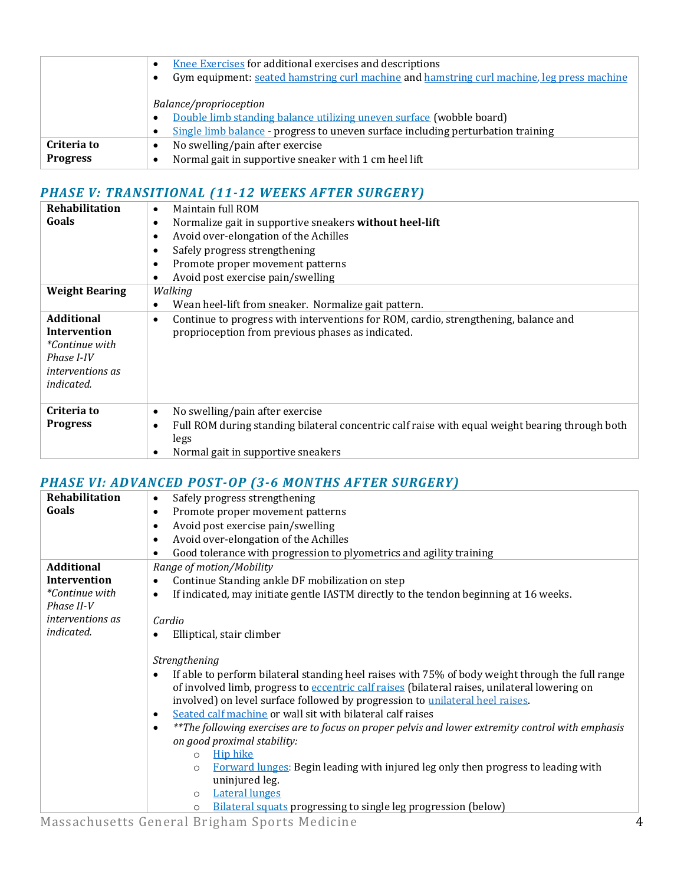|                 | Knee Exercises for additional exercises and descriptions<br>$\bullet$                                   |  |  |  |  |  |
|-----------------|---------------------------------------------------------------------------------------------------------|--|--|--|--|--|
|                 | Gym equipment: seated hamstring curl machine and hamstring curl machine, leg press machine<br>$\bullet$ |  |  |  |  |  |
|                 |                                                                                                         |  |  |  |  |  |
|                 | Balance/proprioception                                                                                  |  |  |  |  |  |
|                 | Double limb standing balance utilizing uneven surface (wobble board)<br>$\bullet$                       |  |  |  |  |  |
|                 | Single limb balance - progress to uneven surface including perturbation training<br>$\bullet$           |  |  |  |  |  |
| Criteria to     | No swelling/pain after exercise<br>٠                                                                    |  |  |  |  |  |
| <b>Progress</b> | Normal gait in supportive sneaker with 1 cm heel lift<br>$\bullet$                                      |  |  |  |  |  |
|                 |                                                                                                         |  |  |  |  |  |

## *PHASE V: TRANSITIONAL (11-12 WEEKS AFTER SURGERY)*

| Rehabilitation          | Maintain full ROM<br>$\bullet$                                                                                                                                           |  |  |  |  |  |
|-------------------------|--------------------------------------------------------------------------------------------------------------------------------------------------------------------------|--|--|--|--|--|
| Goals                   | Normalize gait in supportive sneakers without heel-lift<br>$\bullet$<br>Avoid over-elongation of the Achilles<br>$\bullet$<br>Safely progress strengthening<br>$\bullet$ |  |  |  |  |  |
|                         |                                                                                                                                                                          |  |  |  |  |  |
|                         |                                                                                                                                                                          |  |  |  |  |  |
|                         | Promote proper movement patterns<br>$\bullet$                                                                                                                            |  |  |  |  |  |
|                         | Avoid post exercise pain/swelling<br>$\bullet$                                                                                                                           |  |  |  |  |  |
| <b>Weight Bearing</b>   | Walking                                                                                                                                                                  |  |  |  |  |  |
|                         | Wean heel-lift from sneaker. Normalize gait pattern.<br>$\bullet$                                                                                                        |  |  |  |  |  |
| <b>Additional</b>       | Continue to progress with interventions for ROM, cardio, strengthening, balance and<br>$\bullet$                                                                         |  |  |  |  |  |
| Intervention            | proprioception from previous phases as indicated.                                                                                                                        |  |  |  |  |  |
| <i>*Continue with</i>   |                                                                                                                                                                          |  |  |  |  |  |
| Phase I-IV              |                                                                                                                                                                          |  |  |  |  |  |
| <i>interventions as</i> |                                                                                                                                                                          |  |  |  |  |  |
| <i>indicated.</i>       |                                                                                                                                                                          |  |  |  |  |  |
| Criteria to             | No swelling/pain after exercise<br>$\bullet$                                                                                                                             |  |  |  |  |  |
| <b>Progress</b>         | Full ROM during standing bilateral concentric calf raise with equal weight bearing through both<br>$\bullet$                                                             |  |  |  |  |  |
|                         | legs                                                                                                                                                                     |  |  |  |  |  |
|                         | Normal gait in supportive sneakers<br>$\bullet$                                                                                                                          |  |  |  |  |  |

## *PHASE VI: ADVANCED POST-OP (3-6 MONTHS AFTER SURGERY)*

| Safely progress strengthening<br>$\bullet$                                                                                                                                                                                                                                                                                                                                                                                                                                                                                                                                                                                                                                                                                                                                                                    |  |  |  |  |  |
|---------------------------------------------------------------------------------------------------------------------------------------------------------------------------------------------------------------------------------------------------------------------------------------------------------------------------------------------------------------------------------------------------------------------------------------------------------------------------------------------------------------------------------------------------------------------------------------------------------------------------------------------------------------------------------------------------------------------------------------------------------------------------------------------------------------|--|--|--|--|--|
| Promote proper movement patterns<br>٠                                                                                                                                                                                                                                                                                                                                                                                                                                                                                                                                                                                                                                                                                                                                                                         |  |  |  |  |  |
| Avoid post exercise pain/swelling<br>$\bullet$                                                                                                                                                                                                                                                                                                                                                                                                                                                                                                                                                                                                                                                                                                                                                                |  |  |  |  |  |
| Avoid over-elongation of the Achilles<br>$\bullet$                                                                                                                                                                                                                                                                                                                                                                                                                                                                                                                                                                                                                                                                                                                                                            |  |  |  |  |  |
| Good tolerance with progression to plyometrics and agility training<br>$\bullet$                                                                                                                                                                                                                                                                                                                                                                                                                                                                                                                                                                                                                                                                                                                              |  |  |  |  |  |
| Range of motion/Mobility                                                                                                                                                                                                                                                                                                                                                                                                                                                                                                                                                                                                                                                                                                                                                                                      |  |  |  |  |  |
| Continue Standing ankle DF mobilization on step<br>$\bullet$                                                                                                                                                                                                                                                                                                                                                                                                                                                                                                                                                                                                                                                                                                                                                  |  |  |  |  |  |
| If indicated, may initiate gentle IASTM directly to the tendon beginning at 16 weeks.<br>$\bullet$                                                                                                                                                                                                                                                                                                                                                                                                                                                                                                                                                                                                                                                                                                            |  |  |  |  |  |
| Cardio                                                                                                                                                                                                                                                                                                                                                                                                                                                                                                                                                                                                                                                                                                                                                                                                        |  |  |  |  |  |
| Elliptical, stair climber<br>$\bullet$                                                                                                                                                                                                                                                                                                                                                                                                                                                                                                                                                                                                                                                                                                                                                                        |  |  |  |  |  |
| Strengthening<br>If able to perform bilateral standing heel raises with 75% of body weight through the full range<br>$\bullet$<br>of involved limb, progress to eccentric calf raises (bilateral raises, unilateral lowering on<br>involved) on level surface followed by progression to unilateral heel raises.<br>Seated calf machine or wall sit with bilateral calf raises<br>$\bullet$<br>**The following exercises are to focus on proper pelvis and lower extremity control with emphasis<br>$\bullet$<br>on good proximal stability:<br><b>Hip hike</b><br>$\circ$<br>Forward lunges: Begin leading with injured leg only then progress to leading with<br>$\circ$<br>uninjured leg.<br><b>Lateral lunges</b><br>$\circ$<br>Bilateral squats progressing to single leg progression (below)<br>$\circ$ |  |  |  |  |  |
|                                                                                                                                                                                                                                                                                                                                                                                                                                                                                                                                                                                                                                                                                                                                                                                                               |  |  |  |  |  |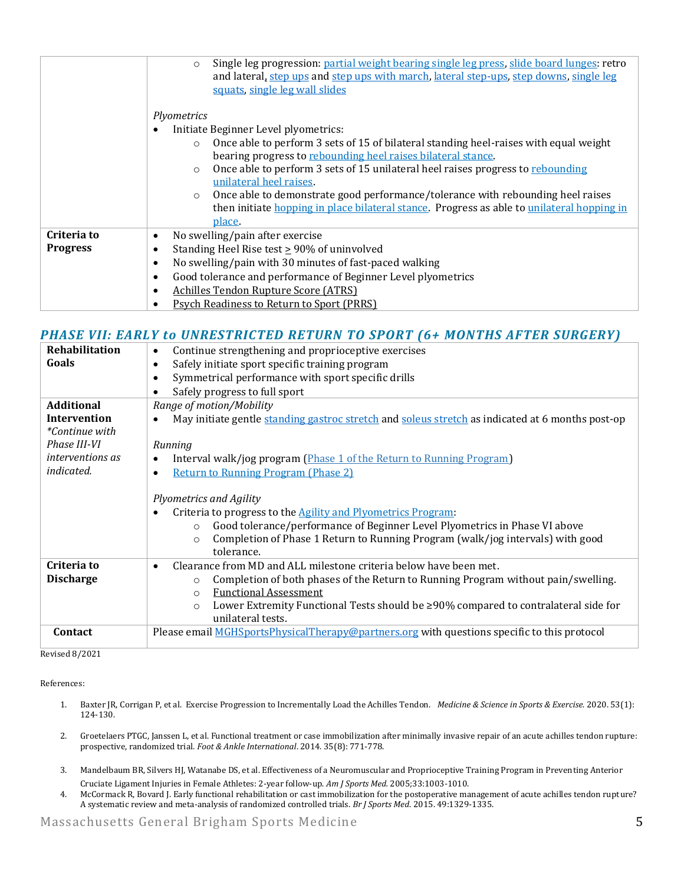|                 | Single leg progression: partial weight bearing single leg press, slide board lunges: retro<br>$\circ$<br>and lateral, step ups and step ups with march, lateral step-ups, step downs, single leg<br>squats, single leg wall slides                                                                                                                                                                                                                                                                                                           |  |  |  |  |
|-----------------|----------------------------------------------------------------------------------------------------------------------------------------------------------------------------------------------------------------------------------------------------------------------------------------------------------------------------------------------------------------------------------------------------------------------------------------------------------------------------------------------------------------------------------------------|--|--|--|--|
|                 | Plyometrics<br>Initiate Beginner Level plyometrics:<br>Once able to perform 3 sets of 15 of bilateral standing heel-raises with equal weight<br>$\circ$<br>bearing progress to rebounding heel raises bilateral stance.<br>Once able to perform 3 sets of 15 unilateral heel raises progress to rebounding<br>$\circ$<br>unilateral heel raises.<br>Once able to demonstrate good performance/tolerance with rebounding heel raises<br>$\circ$<br>then initiate hopping in place bilateral stance. Progress as able to unilateral hopping in |  |  |  |  |
| Criteria to     | place.<br>No swelling/pain after exercise<br>$\bullet$                                                                                                                                                                                                                                                                                                                                                                                                                                                                                       |  |  |  |  |
| <b>Progress</b> | Standing Heel Rise test $\geq$ 90% of uninvolved<br>$\bullet$                                                                                                                                                                                                                                                                                                                                                                                                                                                                                |  |  |  |  |
|                 | No swelling/pain with 30 minutes of fast-paced walking<br>$\bullet$                                                                                                                                                                                                                                                                                                                                                                                                                                                                          |  |  |  |  |
|                 | Good tolerance and performance of Beginner Level plyometrics<br>$\bullet$                                                                                                                                                                                                                                                                                                                                                                                                                                                                    |  |  |  |  |
|                 | <b>Achilles Tendon Rupture Score (ATRS)</b><br>$\bullet$                                                                                                                                                                                                                                                                                                                                                                                                                                                                                     |  |  |  |  |
|                 | <b>Psych Readiness to Return to Sport (PRRS)</b>                                                                                                                                                                                                                                                                                                                                                                                                                                                                                             |  |  |  |  |

### *PHASE VII: EARLY to UNRESTRICTED RETURN TO SPORT (6+ MONTHS AFTER SURGERY)*

| Rehabilitation          | Continue strengthening and proprioceptive exercises<br>$\bullet$                                              |  |  |  |  |  |
|-------------------------|---------------------------------------------------------------------------------------------------------------|--|--|--|--|--|
| Goals                   | Safely initiate sport specific training program<br>$\bullet$                                                  |  |  |  |  |  |
|                         | Symmetrical performance with sport specific drills<br>٠                                                       |  |  |  |  |  |
|                         | Safely progress to full sport<br>٠                                                                            |  |  |  |  |  |
| <b>Additional</b>       | Range of motion/Mobility                                                                                      |  |  |  |  |  |
| <b>Intervention</b>     | May initiate gentle standing gastroc stretch and soleus stretch as indicated at 6 months post-op<br>$\bullet$ |  |  |  |  |  |
| <i>*Continue with</i>   |                                                                                                               |  |  |  |  |  |
| Phase III-VI            | Running                                                                                                       |  |  |  |  |  |
| <i>interventions as</i> | Interval walk/jog program (Phase 1 of the Return to Running Program)<br>$\bullet$                             |  |  |  |  |  |
| <i>indicated.</i>       | <b>Return to Running Program (Phase 2)</b><br>$\bullet$                                                       |  |  |  |  |  |
|                         |                                                                                                               |  |  |  |  |  |
|                         | Plyometrics and Agility                                                                                       |  |  |  |  |  |
|                         | Criteria to progress to the <b>Agility and Plyometrics Program</b> :                                          |  |  |  |  |  |
|                         | Good tolerance/performance of Beginner Level Plyometrics in Phase VI above<br>$\circ$                         |  |  |  |  |  |
|                         | Completion of Phase 1 Return to Running Program (walk/jog intervals) with good                                |  |  |  |  |  |
|                         | $\circ$<br>tolerance.                                                                                         |  |  |  |  |  |
| Criteria to             |                                                                                                               |  |  |  |  |  |
|                         | Clearance from MD and ALL milestone criteria below have been met.<br>$\bullet$                                |  |  |  |  |  |
| <b>Discharge</b>        | Completion of both phases of the Return to Running Program without pain/swelling.<br>$\circ$                  |  |  |  |  |  |
|                         | <b>Functional Assessment</b><br>$\circ$                                                                       |  |  |  |  |  |
|                         | Lower Extremity Functional Tests should be ≥90% compared to contralateral side for<br>$\circ$                 |  |  |  |  |  |
|                         | unilateral tests.                                                                                             |  |  |  |  |  |
| Contact                 | Please email MGHSportsPhysicalTherapy@partners.org with questions specific to this protocol                   |  |  |  |  |  |
|                         |                                                                                                               |  |  |  |  |  |

Revised 8/2021

References:

- 1. Baxter JR, Corrigan P, et al. Exercise Progression to Incrementally Load the Achilles Tendon. *Medicine & Science in Sports & Exercise.* 2020. 53(1): 124-130.
- 2. Groetelaers PTGC, Janssen L, et al. Functional treatment or case immobilization after minimally invasive repair of an acute achilles tendon rupture: prospective, randomized trial. *Foot & Ankle International*. 2014. 35(8): 771-778.
- 3. Mandelbaum BR, Silvers HJ, Watanabe DS, et al. Effectiveness of a Neuromuscular and Proprioceptive Training Program in Preventing Anterior Cruciate Ligament Injuries in Female Athletes: 2-year follow-up. *Am J Sports Med.* 2005;33:1003-1010.
- 4. McCormack R, Bovard J. Early functional rehabilitation or cast immobilization for the postoperative management of acute achilles tendon rupture? A systematic review and meta-analysis of randomized controlled trials. *Br J Sports Med*. 2015. 49:1329-1335.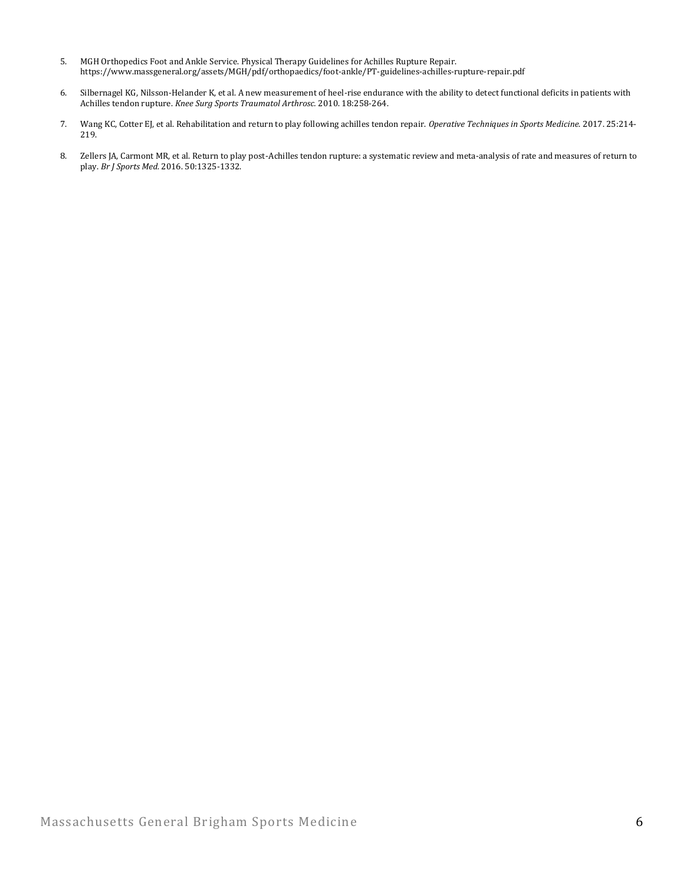- 5. MGH Orthopedics Foot and Ankle Service. Physical Therapy Guidelines for Achilles Rupture Repair. https://www.massgeneral.org/assets/MGH/pdf/orthopaedics/foot-ankle/PT-guidelines-achilles-rupture-repair.pdf
- 6. Silbernagel KG, Nilsson-Helander K, et al. A new measurement of heel-rise endurance with the ability to detect functional deficits in patients with Achilles tendon rupture. *Knee Surg Sports Traumatol Arthrosc.* 2010. 18:258-264.
- 7. Wang KC, Cotter EJ, et al. Rehabilitation and return to play following achilles tendon repair. *Operative Techniques in Sports Medicine*. 2017. 25:214- 219.
- 8. Zellers JA, Carmont MR, et al. Return to play post-Achilles tendon rupture: a systematic review and meta-analysis of rate and measures of return to play. *Br J Sports Med.* 2016. 50:1325-1332.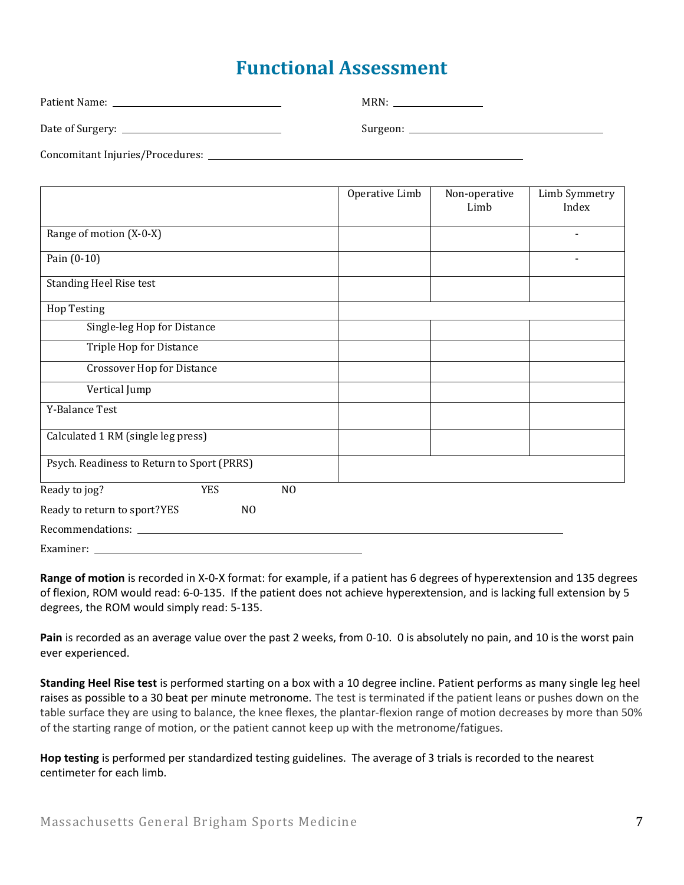# **Functional Assessment**

| Patient Name: The contract of the contract of the contract of the contract of the contract of the contract of the contract of the contract of the contract of the contract of the contract of the contract of the contract of | MRN: |
|-------------------------------------------------------------------------------------------------------------------------------------------------------------------------------------------------------------------------------|------|
|                                                                                                                                                                                                                               |      |
|                                                                                                                                                                                                                               |      |

|                                            |            |                | Operative Limb | Non-operative<br>Limb | Limb Symmetry<br>Index |
|--------------------------------------------|------------|----------------|----------------|-----------------------|------------------------|
| Range of motion (X-0-X)                    |            |                |                |                       |                        |
| Pain (0-10)                                |            |                |                |                       |                        |
| <b>Standing Heel Rise test</b>             |            |                |                |                       |                        |
| <b>Hop Testing</b>                         |            |                |                |                       |                        |
| Single-leg Hop for Distance                |            |                |                |                       |                        |
| Triple Hop for Distance                    |            |                |                |                       |                        |
| <b>Crossover Hop for Distance</b>          |            |                |                |                       |                        |
| Vertical Jump                              |            |                |                |                       |                        |
| Y-Balance Test                             |            |                |                |                       |                        |
| Calculated 1 RM (single leg press)         |            |                |                |                       |                        |
| Psych. Readiness to Return to Sport (PRRS) |            |                |                |                       |                        |
| Ready to jog?                              | <b>YES</b> | NO             |                |                       |                        |
| Ready to return to sport?YES               |            | N <sub>O</sub> |                |                       |                        |
|                                            |            |                |                |                       |                        |
| Examiner:                                  |            |                |                |                       |                        |

**Range of motion** is recorded in X-0-X format: for example, if a patient has 6 degrees of hyperextension and 135 degrees of flexion, ROM would read: 6-0-135. If the patient does not achieve hyperextension, and is lacking full extension by 5 degrees, the ROM would simply read: 5-135.

**Pain** is recorded as an average value over the past 2 weeks, from 0-10. 0 is absolutely no pain, and 10 is the worst pain ever experienced.

**Standing Heel Rise test** is performed starting on a box with a 10 degree incline. Patient performs as many single leg heel raises as possible to a 30 beat per minute metronome. The test is terminated if the patient leans or pushes down on the table surface they are using to balance, the knee flexes, the plantar-flexion range of motion decreases by more than 50% of the starting range of motion, or the patient cannot keep up with the metronome/fatigues.

**Hop testing** is performed per standardized testing guidelines. The average of 3 trials is recorded to the nearest centimeter for each limb.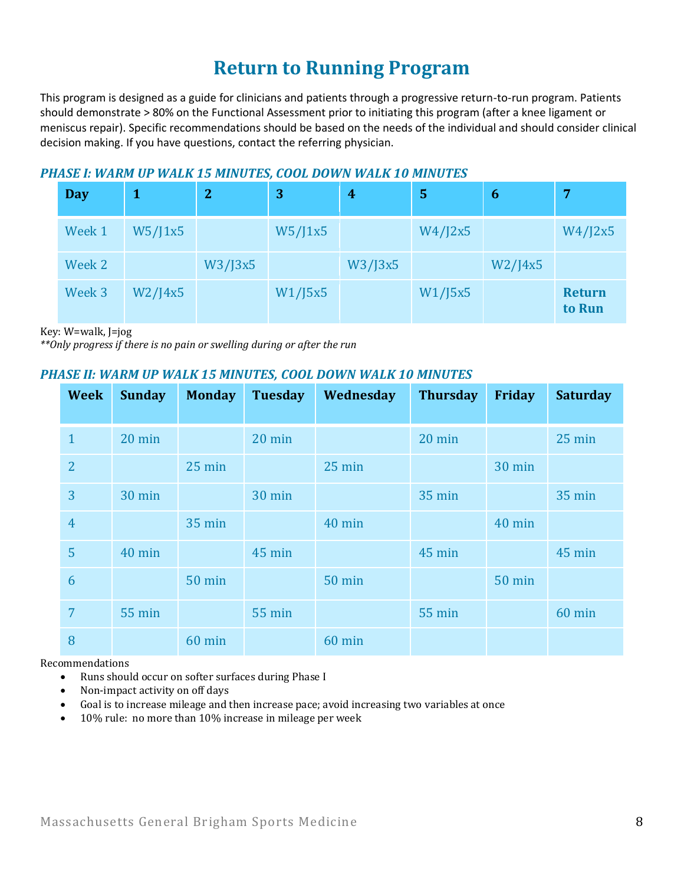# **Return to Running Program**

This program is designed as a guide for clinicians and patients through a progressive return-to-run program. Patients should demonstrate > 80% on the Functional Assessment prior to initiating this program (after a knee ligament or meniscus repair). Specific recommendations should be based on the needs of the individual and should consider clinical decision making. If you have questions, contact the referring physician.

### *PHASE I: WARM UP WALK 15 MINUTES, COOL DOWN WALK 10 MINUTES*

| <b>Day</b> |               | $\overline{2}$ | 3       | $\overline{4}$ | 5       | 6             | 7                       |
|------------|---------------|----------------|---------|----------------|---------|---------------|-------------------------|
| Week 1     | W5/J1x5       |                | W5/J1x5 |                | W4/J2x5 |               | W4/J2x5                 |
| Week 2     |               | W3/J3x5        |         | W3/J3x5        |         | $W2$ /J $4x5$ |                         |
| Week 3     | $W2$ /J $4x5$ |                | W1/J5x5 |                | W1/J5x5 |               | <b>Return</b><br>to Run |

Key: W=walk, J=jog

*\*\*Only progress if there is no pain or swelling during or after the run*

### *PHASE II: WARM UP WALK 15 MINUTES, COOL DOWN WALK 10 MINUTES*

| <b>Week</b>    | <b>Sunday</b>    | <b>Monday</b> | <b>Tuesday</b> | Wednesday        | <b>Thursday</b> | Friday        | <b>Saturday</b> |
|----------------|------------------|---------------|----------------|------------------|-----------------|---------------|-----------------|
| $\mathbf{1}$   | $20 \text{ min}$ |               | 20 min         |                  | 20 min          |               | 25 min          |
| $\overline{2}$ |                  | 25 min        |                | $25 \text{ min}$ |                 | 30 min        |                 |
| 3              | 30 min           |               | 30 min         |                  | 35 min          |               | <b>35 min</b>   |
| $\overline{4}$ |                  | <b>35 min</b> |                | 40 min           |                 | 40 min        |                 |
| 5              | 40 min           |               | 45 min         |                  | 45 min          |               | 45 min          |
| 6              |                  | <b>50 min</b> |                | <b>50 min</b>    |                 | <b>50 min</b> |                 |
| 7              | 55 min           |               | <b>55 min</b>  |                  | <b>55 min</b>   |               | 60 min          |
| 8              |                  | 60 min        |                | 60 min           |                 |               |                 |

Recommendations

- Runs should occur on softer surfaces during Phase I
- Non-impact activity on off days
- Goal is to increase mileage and then increase pace; avoid increasing two variables at once
- 10% rule: no more than 10% increase in mileage per week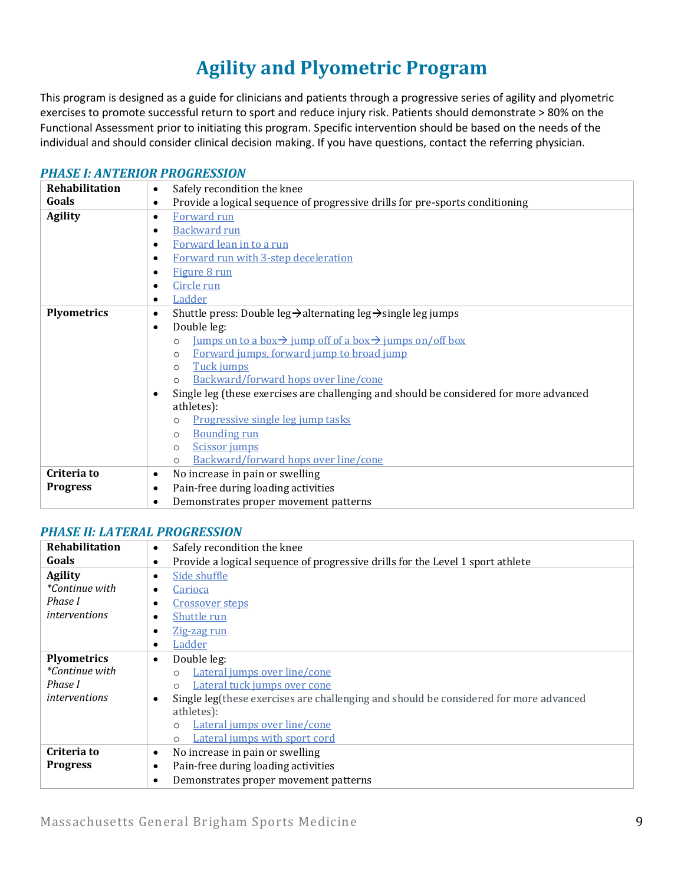# **Agility and Plyometric Program**

This program is designed as a guide for clinicians and patients through a progressive series of agility and plyometric exercises to promote successful return to sport and reduce injury risk. Patients should demonstrate > 80% on the Functional Assessment prior to initiating this program. Specific intervention should be based on the needs of the individual and should consider clinical decision making. If you have questions, contact the referring physician.

#### *[PHASE I: ANTERIOR PROGRESSION](https://www.youtube.com/watch?v=dFcVIcLOTb8&list=PLLj8wKd0c1Gw61RvQr1ptMtb1Z8HmL4tm)*

| <b>Rehabilitation</b><br>Safely recondition the knee<br>$\bullet$ |                                                                                                                          |  |  |  |
|-------------------------------------------------------------------|--------------------------------------------------------------------------------------------------------------------------|--|--|--|
| Goals                                                             | Provide a logical sequence of progressive drills for pre-sports conditioning                                             |  |  |  |
| <b>Agility</b>                                                    | Forward run<br>$\bullet$                                                                                                 |  |  |  |
|                                                                   | Backward run                                                                                                             |  |  |  |
|                                                                   | Forward lean in to a run                                                                                                 |  |  |  |
|                                                                   | Forward run with 3-step deceleration                                                                                     |  |  |  |
|                                                                   | Figure 8 run                                                                                                             |  |  |  |
|                                                                   | Circle run                                                                                                               |  |  |  |
|                                                                   | Ladder                                                                                                                   |  |  |  |
| <b>Plyometrics</b>                                                | Shuttle press: Double leg $\rightarrow$ alternating leg $\rightarrow$ single leg jumps<br>٠                              |  |  |  |
|                                                                   | Double leg:<br>$\bullet$                                                                                                 |  |  |  |
|                                                                   | <u>Iumps on to a box <math>\rightarrow</math> jump off of a box <math>\rightarrow</math> jumps on/off box</u><br>$\circ$ |  |  |  |
|                                                                   | Forward jumps, forward jump to broad jump<br>$\circ$                                                                     |  |  |  |
|                                                                   | Tuck jumps<br>$\circ$                                                                                                    |  |  |  |
|                                                                   | Backward/forward hops over line/cone<br>$\Omega$                                                                         |  |  |  |
|                                                                   | Single leg (these exercises are challenging and should be considered for more advanced                                   |  |  |  |
|                                                                   | athletes):                                                                                                               |  |  |  |
|                                                                   | Progressive single leg jump tasks<br>O                                                                                   |  |  |  |
|                                                                   | <b>Bounding run</b><br>$\Omega$                                                                                          |  |  |  |
|                                                                   | Scissor jumps<br>$\circ$                                                                                                 |  |  |  |
|                                                                   | Backward/forward hops over line/cone<br>$\circ$                                                                          |  |  |  |
| Criteria to                                                       | No increase in pain or swelling<br>٠                                                                                     |  |  |  |
| <b>Progress</b>                                                   | Pain-free during loading activities<br>٠                                                                                 |  |  |  |
|                                                                   | Demonstrates proper movement patterns                                                                                    |  |  |  |

#### *[PHASE II: LATERAL PROGRESSION](https://www.youtube.com/watch?v=TQfwZ_Mimxs&list=PLLj8wKd0c1Gy1Zo9wk5p6zPWPA6OOKPHP)*

| Rehabilitation<br>Safely recondition the knee<br>$\bullet$                                           |                                                                                            |  |
|------------------------------------------------------------------------------------------------------|--------------------------------------------------------------------------------------------|--|
| Goals<br>Provide a logical sequence of progressive drills for the Level 1 sport athlete<br>$\bullet$ |                                                                                            |  |
| <b>Agility</b>                                                                                       | Side shuffle<br>٠                                                                          |  |
| <i>*Continue with</i>                                                                                | <b>Carioca</b><br>٠                                                                        |  |
| Phase I                                                                                              | <b>Crossover steps</b>                                                                     |  |
| <i>interventions</i>                                                                                 | Shuttle run                                                                                |  |
|                                                                                                      | Zig-zag run<br>٠                                                                           |  |
|                                                                                                      | <b>Ladder</b><br>$\bullet$                                                                 |  |
| <b>Plyometrics</b>                                                                                   | Double leg:<br>٠                                                                           |  |
| <i>*Continue with</i>                                                                                | Lateral jumps over line/cone<br>$\Omega$                                                   |  |
| Phase I                                                                                              | Lateral tuck jumps over cone<br>$\Omega$                                                   |  |
| <i>interventions</i>                                                                                 | Single leg(these exercises are challenging and should be considered for more advanced<br>٠ |  |
|                                                                                                      | athletes):                                                                                 |  |
|                                                                                                      | Lateral jumps over line/cone<br>$\circ$                                                    |  |
|                                                                                                      | Lateral jumps with sport cord<br>$\Omega$                                                  |  |
| Criteria to                                                                                          | No increase in pain or swelling<br>$\bullet$                                               |  |
| <b>Progress</b>                                                                                      | Pain-free during loading activities<br>٠                                                   |  |
|                                                                                                      | Demonstrates proper movement patterns<br>٠                                                 |  |